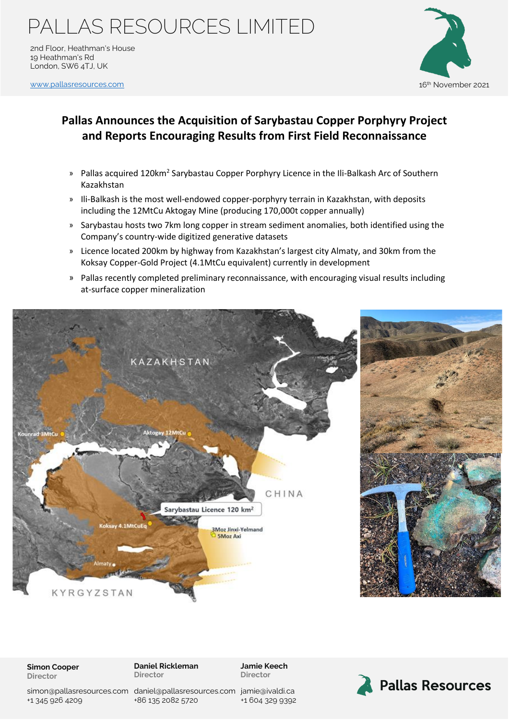### PALLAS RESOURCES LIMITED

2nd Floor, Heathman's House 19 Heathman's Rd London, SW6 4TJ, UK

www.pallasreso<u>urces.com</u> 16th November 2021



### **Pallas Announces the Acquisition of Sarybastau Copper Porphyry Project and Reports Encouraging Results from First Field Reconnaissance**

- » Pallas acquired 120km<sup>2</sup> Sarybastau Copper Porphyry Licence in the Ili-Balkash Arc of Southern Kazakhstan
- » Ili-Balkash is the most well-endowed copper-porphyry terrain in Kazakhstan, with deposits including the 12MtCu Aktogay Mine (producing 170,000t copper annually)
- » Sarybastau hosts two 7km long copper in stream sediment anomalies, both identified using the Company's country-wide digitized generative datasets
- » Licence located 200km by highway from Kazakhstan's largest city Almaty, and 30km from the Koksay Copper-Gold Project (4.1MtCu equivalent) currently in development
- » Pallas recently completed preliminary reconnaissance, with encouraging visual results including at-surface copper mineralization



#### **Simon Cooper Director**

**Daniel Rickleman Director**

**Jamie Keech Director**

simon@pallasresources.com [daniel@pallasresources.com](mailto:daniel@pallasresources.com) [jamie@iv](mailto:jamie@pallasresources.com)aldi.ca +1 345 926 4209

+86 135 2082 5720

+1 604 329 9392

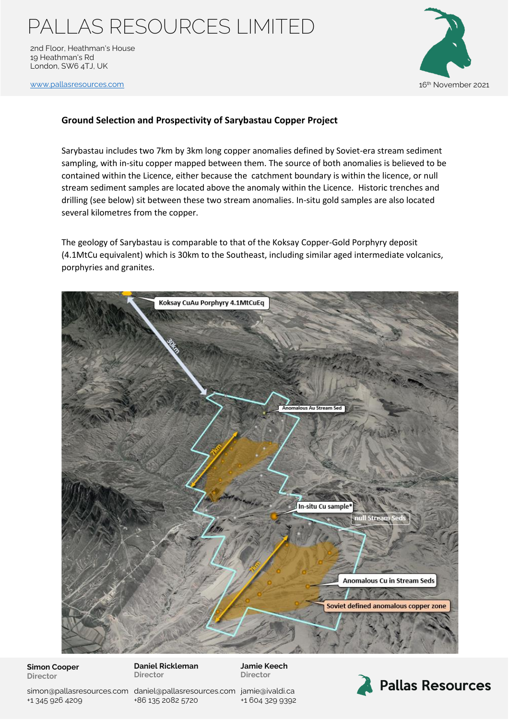# PALLAS RESOURCES LIMITED

2nd Floor, Heathman's House 19 Heathman's Rd London, SW6 4TJ, UK



www.pallasreso<u>urces.com</u> 16th November 2021

#### **Ground Selection and Prospectivity of Sarybastau Copper Project**

Sarybastau includes two 7km by 3km long copper anomalies defined by Soviet-era stream sediment sampling, with in-situ copper mapped between them. The source of both anomalies is believed to be contained within the Licence, either because the catchment boundary is within the licence, or null stream sediment samples are located above the anomaly within the Licence. Historic trenches and drilling (see below) sit between these two stream anomalies. In-situ gold samples are also located several kilometres from the copper.

The geology of Sarybastau is comparable to that of the Koksay Copper-Gold Porphyry deposit (4.1MtCu equivalent) which is 30km to the Southeast, including similar aged intermediate volcanics, porphyries and granites.



**Simon Cooper Director**

**Daniel Rickleman Director**

**Jamie Keech Director**

simon@pallasresources.com [daniel@pallasresources.com](mailto:daniel@pallasresources.com) [jamie@iv](mailto:jamie@pallasresources.com)aldi.ca +1 345 926 4209

+86 135 2082 5720

+1 604 329 9392